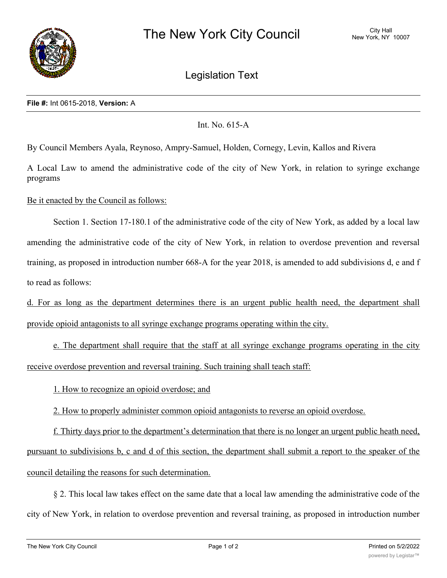

## Legislation Text

## **File #:** Int 0615-2018, **Version:** A

## Int. No. 615-A

By Council Members Ayala, Reynoso, Ampry-Samuel, Holden, Cornegy, Levin, Kallos and Rivera

A Local Law to amend the administrative code of the city of New York, in relation to syringe exchange programs

Be it enacted by the Council as follows:

Section 1. Section 17-180.1 of the administrative code of the city of New York, as added by a local law amending the administrative code of the city of New York, in relation to overdose prevention and reversal training, as proposed in introduction number 668-A for the year 2018, is amended to add subdivisions d, e and f to read as follows:

d. For as long as the department determines there is an urgent public health need, the department shall provide opioid antagonists to all syringe exchange programs operating within the city.

e. The department shall require that the staff at all syringe exchange programs operating in the city receive overdose prevention and reversal training. Such training shall teach staff:

1. How to recognize an opioid overdose; and

2. How to properly administer common opioid antagonists to reverse an opioid overdose.

f. Thirty days prior to the department's determination that there is no longer an urgent public heath need, pursuant to subdivisions b, c and d of this section, the department shall submit a report to the speaker of the council detailing the reasons for such determination.

§ 2. This local law takes effect on the same date that a local law amending the administrative code of the city of New York, in relation to overdose prevention and reversal training, as proposed in introduction number